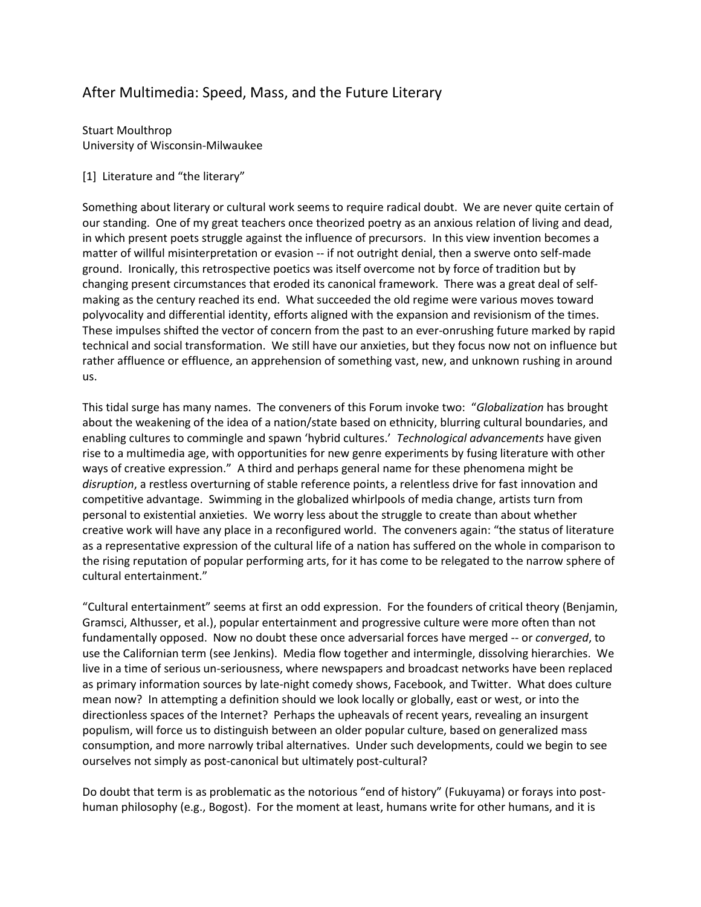# After Multimedia: Speed, Mass, and the Future Literary

Stuart Moulthrop University of Wisconsin-Milwaukee

## [1] Literature and "the literary"

Something about literary or cultural work seems to require radical doubt. We are never quite certain of our standing. One of my great teachers once theorized poetry as an anxious relation of living and dead, in which present poets struggle against the influence of precursors. In this view invention becomes a matter of willful misinterpretation or evasion -- if not outright denial, then a swerve onto self-made ground. Ironically, this retrospective poetics was itself overcome not by force of tradition but by changing present circumstances that eroded its canonical framework. There was a great deal of selfmaking as the century reached its end. What succeeded the old regime were various moves toward polyvocality and differential identity, efforts aligned with the expansion and revisionism of the times. These impulses shifted the vector of concern from the past to an ever-onrushing future marked by rapid technical and social transformation. We still have our anxieties, but they focus now not on influence but rather affluence or effluence, an apprehension of something vast, new, and unknown rushing in around us.

This tidal surge has many names. The conveners of this Forum invoke two: "*Globalization* has brought about the weakening of the idea of a nation/state based on ethnicity, blurring cultural boundaries, and enabling cultures to commingle and spawn 'hybrid cultures.' *Technological advancements* have given rise to a multimedia age, with opportunities for new genre experiments by fusing literature with other ways of creative expression." A third and perhaps general name for these phenomena might be *disruption*, a restless overturning of stable reference points, a relentless drive for fast innovation and competitive advantage. Swimming in the globalized whirlpools of media change, artists turn from personal to existential anxieties. We worry less about the struggle to create than about whether creative work will have any place in a reconfigured world. The conveners again: "the status of literature as a representative expression of the cultural life of a nation has suffered on the whole in comparison to the rising reputation of popular performing arts, for it has come to be relegated to the narrow sphere of cultural entertainment."

"Cultural entertainment" seems at first an odd expression. For the founders of critical theory (Benjamin, Gramsci, Althusser, et al.), popular entertainment and progressive culture were more often than not fundamentally opposed. Now no doubt these once adversarial forces have merged -- or *converged*, to use the Californian term (see Jenkins). Media flow together and intermingle, dissolving hierarchies. We live in a time of serious un-seriousness, where newspapers and broadcast networks have been replaced as primary information sources by late-night comedy shows, Facebook, and Twitter. What does culture mean now? In attempting a definition should we look locally or globally, east or west, or into the directionless spaces of the Internet? Perhaps the upheavals of recent years, revealing an insurgent populism, will force us to distinguish between an older popular culture, based on generalized mass consumption, and more narrowly tribal alternatives. Under such developments, could we begin to see ourselves not simply as post-canonical but ultimately post-cultural?

Do doubt that term is as problematic as the notorious "end of history" (Fukuyama) or forays into posthuman philosophy (e.g., Bogost). For the moment at least, humans write for other humans, and it is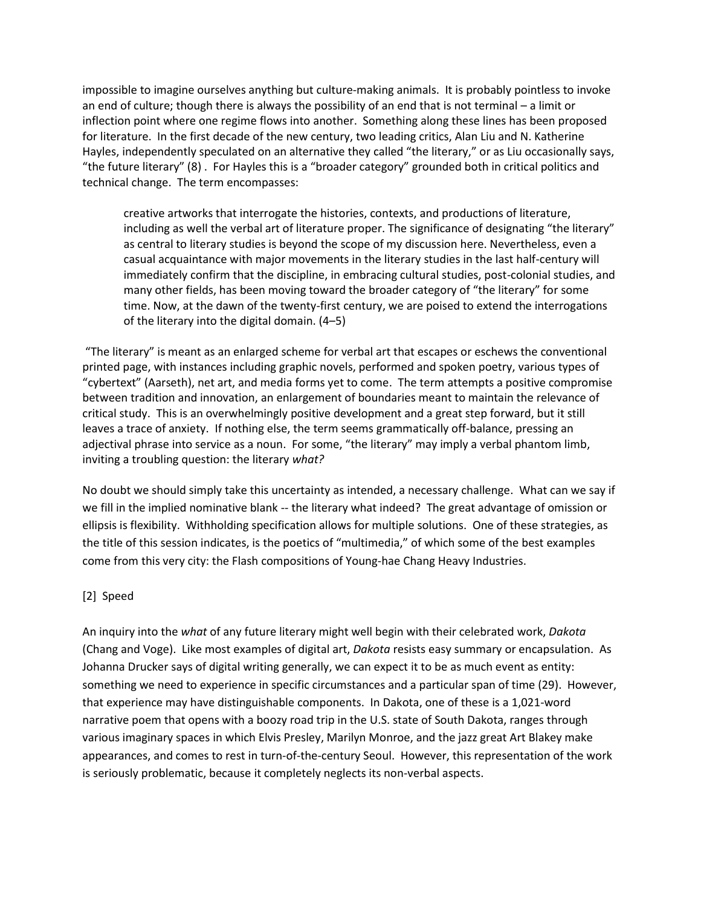impossible to imagine ourselves anything but culture-making animals. It is probably pointless to invoke an end of culture; though there is always the possibility of an end that is not terminal – a limit or inflection point where one regime flows into another. Something along these lines has been proposed for literature. In the first decade of the new century, two leading critics, Alan Liu and N. Katherine Hayles, independently speculated on an alternative they called "the literary," or as Liu occasionally says, "the future literary" (8) . For Hayles this is a "broader category" grounded both in critical politics and technical change. The term encompasses:

creative artworks that interrogate the histories, contexts, and productions of literature, including as well the verbal art of literature proper. The significance of designating "the literary" as central to literary studies is beyond the scope of my discussion here. Nevertheless, even a casual acquaintance with major movements in the literary studies in the last half-century will immediately confirm that the discipline, in embracing cultural studies, post-colonial studies, and many other fields, has been moving toward the broader category of "the literary" for some time. Now, at the dawn of the twenty-first century, we are poised to extend the interrogations of the literary into the digital domain. (4–5)

"The literary" is meant as an enlarged scheme for verbal art that escapes or eschews the conventional printed page, with instances including graphic novels, performed and spoken poetry, various types of "cybertext" (Aarseth), net art, and media forms yet to come. The term attempts a positive compromise between tradition and innovation, an enlargement of boundaries meant to maintain the relevance of critical study. This is an overwhelmingly positive development and a great step forward, but it still leaves a trace of anxiety. If nothing else, the term seems grammatically off-balance, pressing an adjectival phrase into service as a noun. For some, "the literary" may imply a verbal phantom limb, inviting a troubling question: the literary *what?*

No doubt we should simply take this uncertainty as intended, a necessary challenge. What can we say if we fill in the implied nominative blank -- the literary what indeed? The great advantage of omission or ellipsis is flexibility. Withholding specification allows for multiple solutions. One of these strategies, as the title of this session indicates, is the poetics of "multimedia," of which some of the best examples come from this very city: the Flash compositions of Young-hae Chang Heavy Industries.

## [2] Speed

An inquiry into the *what* of any future literary might well begin with their celebrated work, *Dakota* (Chang and Voge). Like most examples of digital art, *Dakota* resists easy summary or encapsulation. As Johanna Drucker says of digital writing generally, we can expect it to be as much event as entity: something we need to experience in specific circumstances and a particular span of time (29). However, that experience may have distinguishable components. In Dakota, one of these is a 1,021-word narrative poem that opens with a boozy road trip in the U.S. state of South Dakota, ranges through various imaginary spaces in which Elvis Presley, Marilyn Monroe, and the jazz great Art Blakey make appearances, and comes to rest in turn-of-the-century Seoul. However, this representation of the work is seriously problematic, because it completely neglects its non-verbal aspects.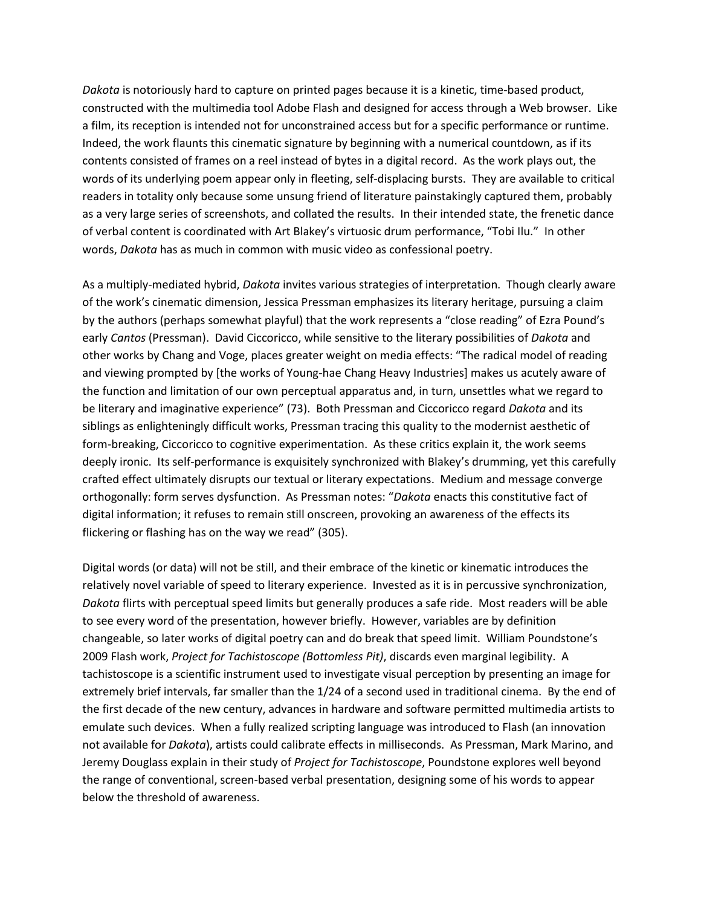*Dakota* is notoriously hard to capture on printed pages because it is a kinetic, time-based product, constructed with the multimedia tool Adobe Flash and designed for access through a Web browser. Like a film, its reception is intended not for unconstrained access but for a specific performance or runtime. Indeed, the work flaunts this cinematic signature by beginning with a numerical countdown, as if its contents consisted of frames on a reel instead of bytes in a digital record. As the work plays out, the words of its underlying poem appear only in fleeting, self-displacing bursts. They are available to critical readers in totality only because some unsung friend of literature painstakingly captured them, probably as a very large series of screenshots, and collated the results. In their intended state, the frenetic dance of verbal content is coordinated with Art Blakey's virtuosic drum performance, "Tobi Ilu." In other words, *Dakota* has as much in common with music video as confessional poetry.

As a multiply-mediated hybrid, *Dakota* invites various strategies of interpretation. Though clearly aware of the work's cinematic dimension, Jessica Pressman emphasizes its literary heritage, pursuing a claim by the authors (perhaps somewhat playful) that the work represents a "close reading" of Ezra Pound's early *Cantos* (Pressman). David Ciccoricco, while sensitive to the literary possibilities of *Dakota* and other works by Chang and Voge, places greater weight on media effects: "The radical model of reading and viewing prompted by [the works of Young-hae Chang Heavy Industries] makes us acutely aware of the function and limitation of our own perceptual apparatus and, in turn, unsettles what we regard to be literary and imaginative experience" (73). Both Pressman and Ciccoricco regard *Dakota* and its siblings as enlighteningly difficult works, Pressman tracing this quality to the modernist aesthetic of form-breaking, Ciccoricco to cognitive experimentation. As these critics explain it, the work seems deeply ironic. Its self-performance is exquisitely synchronized with Blakey's drumming, yet this carefully crafted effect ultimately disrupts our textual or literary expectations. Medium and message converge orthogonally: form serves dysfunction. As Pressman notes: "*Dakota* enacts this constitutive fact of digital information; it refuses to remain still onscreen, provoking an awareness of the effects its flickering or flashing has on the way we read" (305).

Digital words (or data) will not be still, and their embrace of the kinetic or kinematic introduces the relatively novel variable of speed to literary experience. Invested as it is in percussive synchronization, *Dakota* flirts with perceptual speed limits but generally produces a safe ride. Most readers will be able to see every word of the presentation, however briefly. However, variables are by definition changeable, so later works of digital poetry can and do break that speed limit. William Poundstone's 2009 Flash work, *Project for Tachistoscope (Bottomless Pit)*, discards even marginal legibility. A tachistoscope is a scientific instrument used to investigate visual perception by presenting an image for extremely brief intervals, far smaller than the 1/24 of a second used in traditional cinema. By the end of the first decade of the new century, advances in hardware and software permitted multimedia artists to emulate such devices. When a fully realized scripting language was introduced to Flash (an innovation not available for *Dakota*), artists could calibrate effects in milliseconds. As Pressman, Mark Marino, and Jeremy Douglass explain in their study of *Project for Tachistoscope*, Poundstone explores well beyond the range of conventional, screen-based verbal presentation, designing some of his words to appear below the threshold of awareness.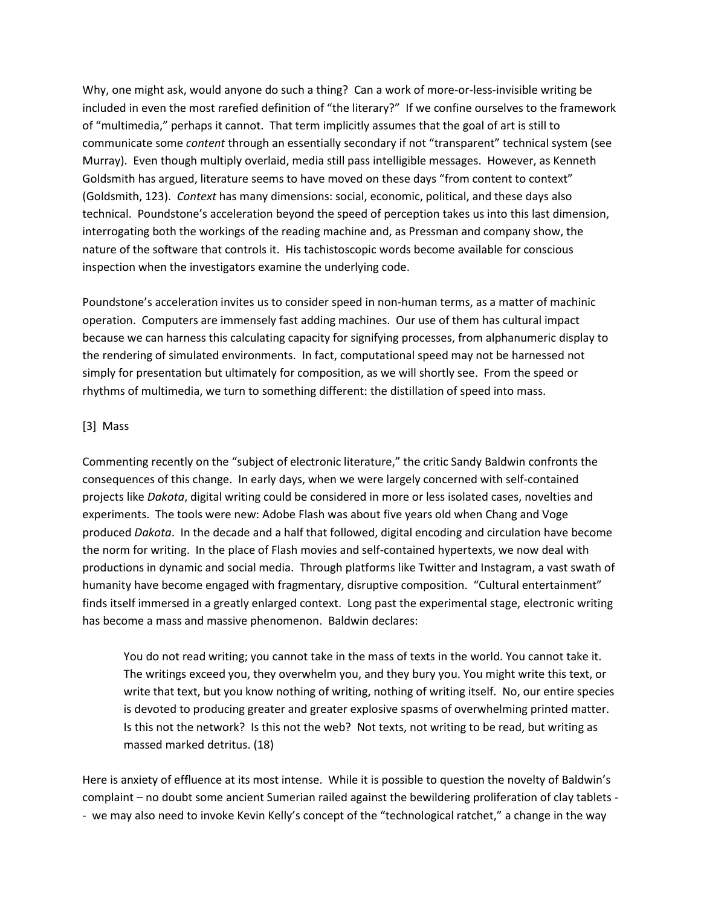Why, one might ask, would anyone do such a thing? Can a work of more-or-less-invisible writing be included in even the most rarefied definition of "the literary?" If we confine ourselves to the framework of "multimedia," perhaps it cannot. That term implicitly assumes that the goal of art is still to communicate some *content* through an essentially secondary if not "transparent" technical system (see Murray). Even though multiply overlaid, media still pass intelligible messages. However, as Kenneth Goldsmith has argued, literature seems to have moved on these days "from content to context" (Goldsmith, 123). *Context* has many dimensions: social, economic, political, and these days also technical. Poundstone's acceleration beyond the speed of perception takes us into this last dimension, interrogating both the workings of the reading machine and, as Pressman and company show, the nature of the software that controls it. His tachistoscopic words become available for conscious inspection when the investigators examine the underlying code.

Poundstone's acceleration invites us to consider speed in non-human terms, as a matter of machinic operation. Computers are immensely fast adding machines. Our use of them has cultural impact because we can harness this calculating capacity for signifying processes, from alphanumeric display to the rendering of simulated environments. In fact, computational speed may not be harnessed not simply for presentation but ultimately for composition, as we will shortly see. From the speed or rhythms of multimedia, we turn to something different: the distillation of speed into mass.

#### [3] Mass

Commenting recently on the "subject of electronic literature," the critic Sandy Baldwin confronts the consequences of this change. In early days, when we were largely concerned with self-contained projects like *Dakota*, digital writing could be considered in more or less isolated cases, novelties and experiments. The tools were new: Adobe Flash was about five years old when Chang and Voge produced *Dakota*. In the decade and a half that followed, digital encoding and circulation have become the norm for writing. In the place of Flash movies and self-contained hypertexts, we now deal with productions in dynamic and social media. Through platforms like Twitter and Instagram, a vast swath of humanity have become engaged with fragmentary, disruptive composition. "Cultural entertainment" finds itself immersed in a greatly enlarged context. Long past the experimental stage, electronic writing has become a mass and massive phenomenon. Baldwin declares:

You do not read writing; you cannot take in the mass of texts in the world. You cannot take it. The writings exceed you, they overwhelm you, and they bury you. You might write this text, or write that text, but you know nothing of writing, nothing of writing itself. No, our entire species is devoted to producing greater and greater explosive spasms of overwhelming printed matter. Is this not the network? Is this not the web? Not texts, not writing to be read, but writing as massed marked detritus. (18)

Here is anxiety of effluence at its most intense. While it is possible to question the novelty of Baldwin's complaint – no doubt some ancient Sumerian railed against the bewildering proliferation of clay tablets - - we may also need to invoke Kevin Kelly's concept of the "technological ratchet," a change in the way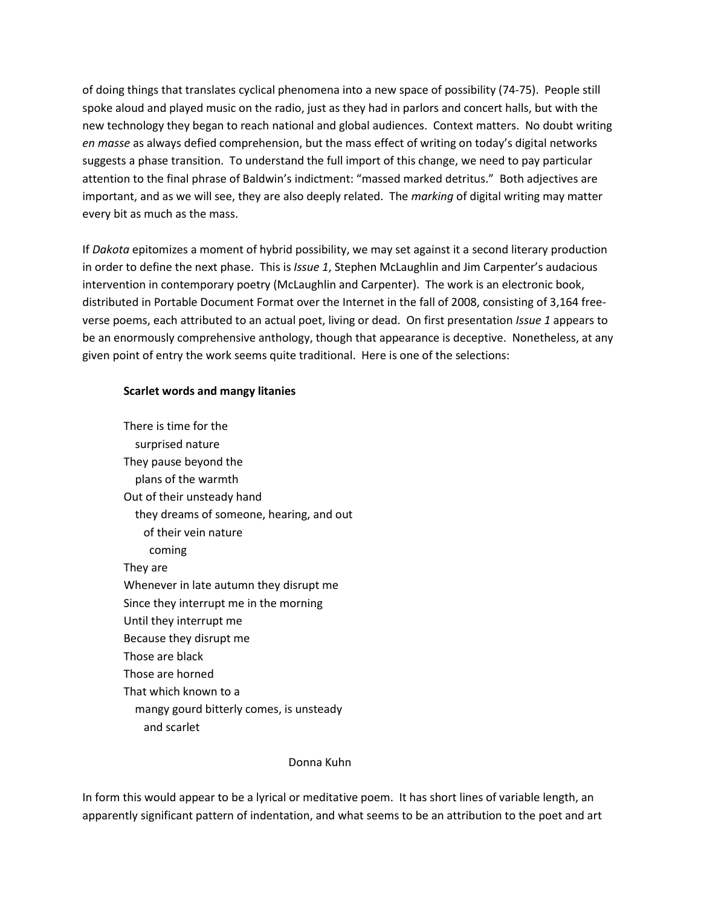of doing things that translates cyclical phenomena into a new space of possibility (74-75). People still spoke aloud and played music on the radio, just as they had in parlors and concert halls, but with the new technology they began to reach national and global audiences. Context matters. No doubt writing *en masse* as always defied comprehension, but the mass effect of writing on today's digital networks suggests a phase transition. To understand the full import of this change, we need to pay particular attention to the final phrase of Baldwin's indictment: "massed marked detritus." Both adjectives are important, and as we will see, they are also deeply related. The *marking* of digital writing may matter every bit as much as the mass.

If *Dakota* epitomizes a moment of hybrid possibility, we may set against it a second literary production in order to define the next phase. This is *Issue 1*, Stephen McLaughlin and Jim Carpenter's audacious intervention in contemporary poetry (McLaughlin and Carpenter). The work is an electronic book, distributed in Portable Document Format over the Internet in the fall of 2008, consisting of 3,164 freeverse poems, each attributed to an actual poet, living or dead. On first presentation *Issue 1* appears to be an enormously comprehensive anthology, though that appearance is deceptive. Nonetheless, at any given point of entry the work seems quite traditional. Here is one of the selections:

#### **Scarlet words and mangy litanies**

There is time for the surprised nature They pause beyond the plans of the warmth Out of their unsteady hand they dreams of someone, hearing, and out of their vein nature coming They are Whenever in late autumn they disrupt me Since they interrupt me in the morning Until they interrupt me Because they disrupt me Those are black Those are horned That which known to a mangy gourd bitterly comes, is unsteady and scarlet

#### Donna Kuhn

In form this would appear to be a lyrical or meditative poem. It has short lines of variable length, an apparently significant pattern of indentation, and what seems to be an attribution to the poet and art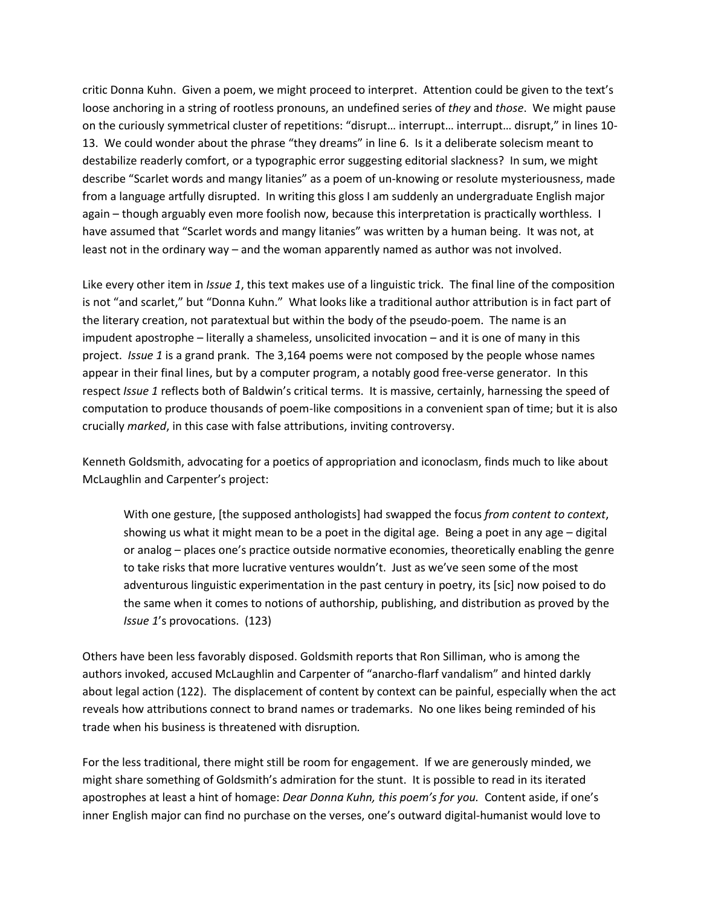critic Donna Kuhn. Given a poem, we might proceed to interpret. Attention could be given to the text's loose anchoring in a string of rootless pronouns, an undefined series of *they* and *those*. We might pause on the curiously symmetrical cluster of repetitions: "disrupt… interrupt… interrupt… disrupt," in lines 10- 13. We could wonder about the phrase "they dreams" in line 6. Is it a deliberate solecism meant to destabilize readerly comfort, or a typographic error suggesting editorial slackness? In sum, we might describe "Scarlet words and mangy litanies" as a poem of un-knowing or resolute mysteriousness, made from a language artfully disrupted. In writing this gloss I am suddenly an undergraduate English major again – though arguably even more foolish now, because this interpretation is practically worthless. I have assumed that "Scarlet words and mangy litanies" was written by a human being. It was not, at least not in the ordinary way – and the woman apparently named as author was not involved.

Like every other item in *Issue 1*, this text makes use of a linguistic trick. The final line of the composition is not "and scarlet," but "Donna Kuhn." What looks like a traditional author attribution is in fact part of the literary creation, not paratextual but within the body of the pseudo-poem. The name is an impudent apostrophe – literally a shameless, unsolicited invocation – and it is one of many in this project. *Issue 1* is a grand prank. The 3,164 poems were not composed by the people whose names appear in their final lines, but by a computer program, a notably good free-verse generator. In this respect *Issue 1* reflects both of Baldwin's critical terms. It is massive, certainly, harnessing the speed of computation to produce thousands of poem-like compositions in a convenient span of time; but it is also crucially *marked*, in this case with false attributions, inviting controversy.

Kenneth Goldsmith, advocating for a poetics of appropriation and iconoclasm, finds much to like about McLaughlin and Carpenter's project:

With one gesture, [the supposed anthologists] had swapped the focus *from content to context*, showing us what it might mean to be a poet in the digital age. Being a poet in any age – digital or analog – places one's practice outside normative economies, theoretically enabling the genre to take risks that more lucrative ventures wouldn't. Just as we've seen some of the most adventurous linguistic experimentation in the past century in poetry, its [sic] now poised to do the same when it comes to notions of authorship, publishing, and distribution as proved by the *Issue 1*'s provocations. (123)

Others have been less favorably disposed. Goldsmith reports that Ron Silliman, who is among the authors invoked, accused McLaughlin and Carpenter of "anarcho-flarf vandalism" and hinted darkly about legal action (122). The displacement of content by context can be painful, especially when the act reveals how attributions connect to brand names or trademarks. No one likes being reminded of his trade when his business is threatened with disruption*.*

For the less traditional, there might still be room for engagement. If we are generously minded, we might share something of Goldsmith's admiration for the stunt. It is possible to read in its iterated apostrophes at least a hint of homage: *Dear Donna Kuhn, this poem's for you.* Content aside, if one's inner English major can find no purchase on the verses, one's outward digital-humanist would love to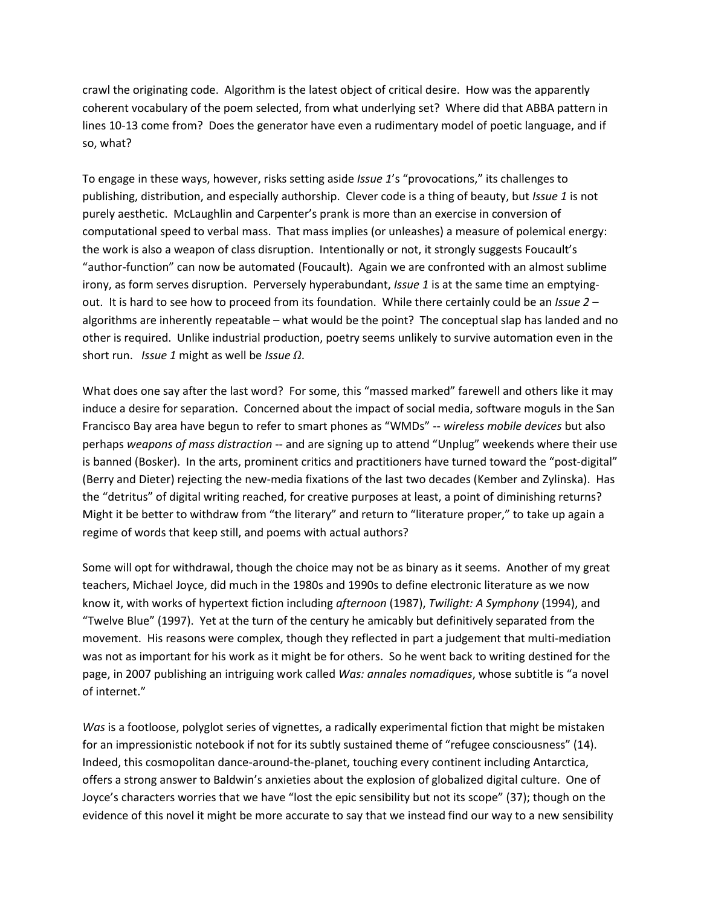crawl the originating code. Algorithm is the latest object of critical desire. How was the apparently coherent vocabulary of the poem selected, from what underlying set? Where did that ABBA pattern in lines 10-13 come from? Does the generator have even a rudimentary model of poetic language, and if so, what?

To engage in these ways, however, risks setting aside *Issue 1*'s "provocations," its challenges to publishing, distribution, and especially authorship. Clever code is a thing of beauty, but *Issue 1* is not purely aesthetic. McLaughlin and Carpenter's prank is more than an exercise in conversion of computational speed to verbal mass. That mass implies (or unleashes) a measure of polemical energy: the work is also a weapon of class disruption. Intentionally or not, it strongly suggests Foucault's "author-function" can now be automated (Foucault). Again we are confronted with an almost sublime irony, as form serves disruption. Perversely hyperabundant, *Issue 1* is at the same time an emptyingout. It is hard to see how to proceed from its foundation. While there certainly could be an *Issue 2* – algorithms are inherently repeatable – what would be the point? The conceptual slap has landed and no other is required. Unlike industrial production, poetry seems unlikely to survive automation even in the short run. *Issue 1* might as well be *Issue Ω*.

What does one say after the last word? For some, this "massed marked" farewell and others like it may induce a desire for separation. Concerned about the impact of social media, software moguls in the San Francisco Bay area have begun to refer to smart phones as "WMDs" -- *wireless mobile devices* but also perhaps *weapons of mass distraction* -- and are signing up to attend "Unplug" weekends where their use is banned (Bosker). In the arts, prominent critics and practitioners have turned toward the "post-digital" (Berry and Dieter) rejecting the new-media fixations of the last two decades (Kember and Zylinska). Has the "detritus" of digital writing reached, for creative purposes at least, a point of diminishing returns? Might it be better to withdraw from "the literary" and return to "literature proper," to take up again a regime of words that keep still, and poems with actual authors?

Some will opt for withdrawal, though the choice may not be as binary as it seems. Another of my great teachers, Michael Joyce, did much in the 1980s and 1990s to define electronic literature as we now know it, with works of hypertext fiction including *afternoon* (1987), *Twilight: A Symphony* (1994), and "Twelve Blue" (1997). Yet at the turn of the century he amicably but definitively separated from the movement. His reasons were complex, though they reflected in part a judgement that multi-mediation was not as important for his work as it might be for others. So he went back to writing destined for the page, in 2007 publishing an intriguing work called *Was: annales nomadiques*, whose subtitle is "a novel of internet."

*Was* is a footloose, polyglot series of vignettes, a radically experimental fiction that might be mistaken for an impressionistic notebook if not for its subtly sustained theme of "refugee consciousness" (14). Indeed, this cosmopolitan dance-around-the-planet, touching every continent including Antarctica, offers a strong answer to Baldwin's anxieties about the explosion of globalized digital culture. One of Joyce's characters worries that we have "lost the epic sensibility but not its scope" (37); though on the evidence of this novel it might be more accurate to say that we instead find our way to a new sensibility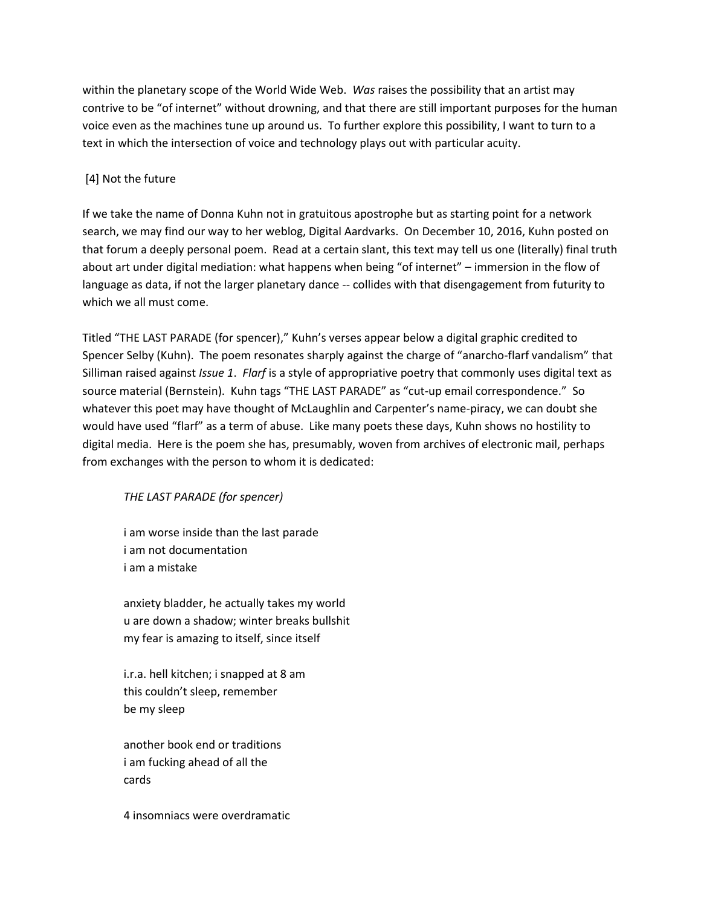within the planetary scope of the World Wide Web. *Was* raises the possibility that an artist may contrive to be "of internet" without drowning, and that there are still important purposes for the human voice even as the machines tune up around us. To further explore this possibility, I want to turn to a text in which the intersection of voice and technology plays out with particular acuity.

# [4] Not the future

If we take the name of Donna Kuhn not in gratuitous apostrophe but as starting point for a network search, we may find our way to her weblog, Digital Aardvarks. On December 10, 2016, Kuhn posted on that forum a deeply personal poem. Read at a certain slant, this text may tell us one (literally) final truth about art under digital mediation: what happens when being "of internet" – immersion in the flow of language as data, if not the larger planetary dance -- collides with that disengagement from futurity to which we all must come.

Titled "THE LAST PARADE (for spencer)," Kuhn's verses appear below a digital graphic credited to Spencer Selby (Kuhn). The poem resonates sharply against the charge of "anarcho-flarf vandalism" that Silliman raised against *Issue 1*. *Flarf* is a style of appropriative poetry that commonly uses digital text as source material (Bernstein). Kuhn tags "THE LAST PARADE" as "cut-up email correspondence." So whatever this poet may have thought of McLaughlin and Carpenter's name-piracy, we can doubt she would have used "flarf" as a term of abuse. Like many poets these days, Kuhn shows no hostility to digital media. Here is the poem she has, presumably, woven from archives of electronic mail, perhaps from exchanges with the person to whom it is dedicated:

# *THE LAST PARADE (for spencer)*

i am worse inside than the last parade i am not documentation i am a mistake

anxiety bladder, he actually takes my world u are down a shadow; winter breaks bullshit my fear is amazing to itself, since itself

i.r.a. hell kitchen; i snapped at 8 am this couldn't sleep, remember be my sleep

another book end or traditions i am fucking ahead of all the cards

4 insomniacs were overdramatic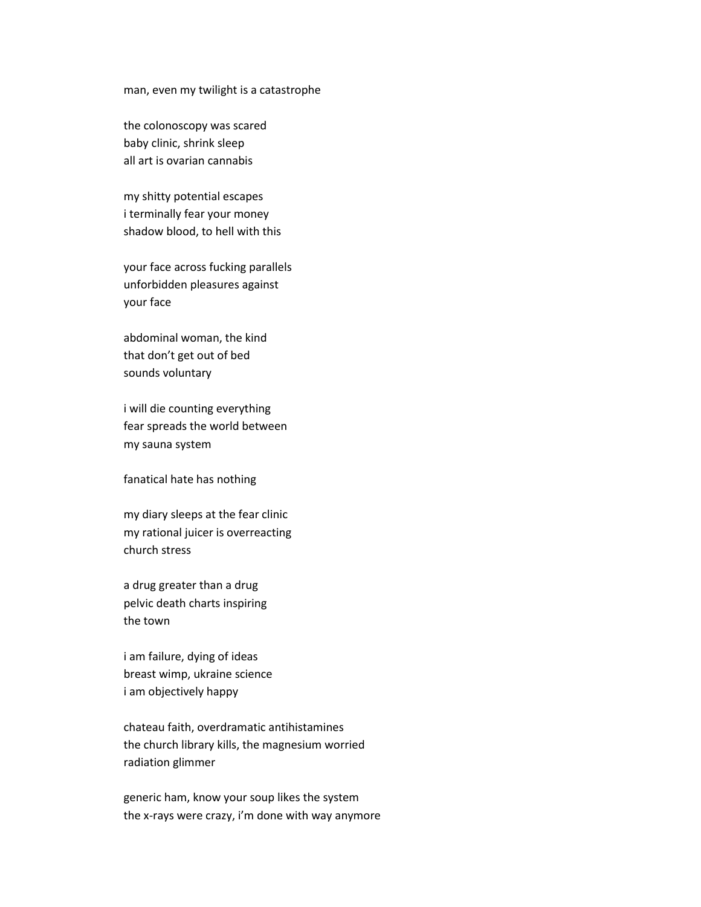#### man, even my twilight is a catastrophe

the colonoscopy was scared baby clinic, shrink sleep all art is ovarian cannabis

my shitty potential escapes i terminally fear your money shadow blood, to hell with this

your face across fucking parallels unforbidden pleasures against your face

abdominal woman, the kind that don't get out of bed sounds voluntary

i will die counting everything fear spreads the world between my sauna system

fanatical hate has nothing

my diary sleeps at the fear clinic my rational juicer is overreacting church stress

a drug greater than a drug pelvic death charts inspiring the town

i am failure, dying of ideas breast wimp, ukraine science i am objectively happy

chateau faith, overdramatic antihistamines the church library kills, the magnesium worried radiation glimmer

generic ham, know your soup likes the system the x-rays were crazy, i'm done with way anymore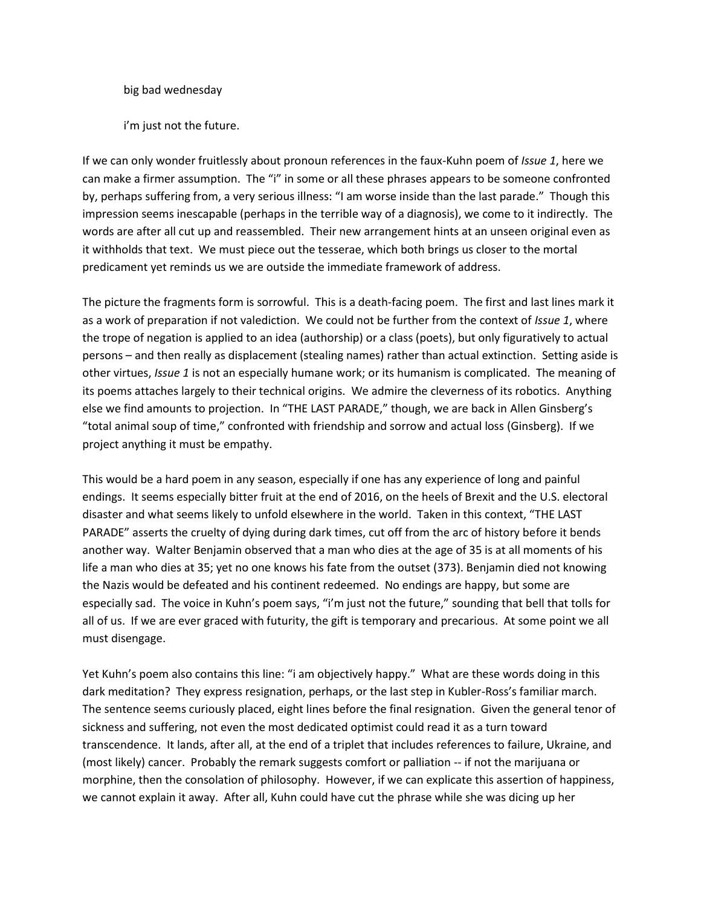big bad wednesday

i'm just not the future.

If we can only wonder fruitlessly about pronoun references in the faux-Kuhn poem of *Issue 1*, here we can make a firmer assumption. The "i" in some or all these phrases appears to be someone confronted by, perhaps suffering from, a very serious illness: "I am worse inside than the last parade." Though this impression seems inescapable (perhaps in the terrible way of a diagnosis), we come to it indirectly. The words are after all cut up and reassembled. Their new arrangement hints at an unseen original even as it withholds that text. We must piece out the tesserae, which both brings us closer to the mortal predicament yet reminds us we are outside the immediate framework of address.

The picture the fragments form is sorrowful. This is a death-facing poem. The first and last lines mark it as a work of preparation if not valediction. We could not be further from the context of *Issue 1*, where the trope of negation is applied to an idea (authorship) or a class (poets), but only figuratively to actual persons – and then really as displacement (stealing names) rather than actual extinction. Setting aside is other virtues, *Issue 1* is not an especially humane work; or its humanism is complicated. The meaning of its poems attaches largely to their technical origins. We admire the cleverness of its robotics. Anything else we find amounts to projection. In "THE LAST PARADE," though, we are back in Allen Ginsberg's "total animal soup of time," confronted with friendship and sorrow and actual loss (Ginsberg). If we project anything it must be empathy.

This would be a hard poem in any season, especially if one has any experience of long and painful endings. It seems especially bitter fruit at the end of 2016, on the heels of Brexit and the U.S. electoral disaster and what seems likely to unfold elsewhere in the world. Taken in this context, "THE LAST PARADE" asserts the cruelty of dying during dark times, cut off from the arc of history before it bends another way. Walter Benjamin observed that a man who dies at the age of 35 is at all moments of his life a man who dies at 35; yet no one knows his fate from the outset (373). Benjamin died not knowing the Nazis would be defeated and his continent redeemed. No endings are happy, but some are especially sad. The voice in Kuhn's poem says, "i'm just not the future," sounding that bell that tolls for all of us. If we are ever graced with futurity, the gift is temporary and precarious. At some point we all must disengage.

Yet Kuhn's poem also contains this line: "i am objectively happy." What are these words doing in this dark meditation? They express resignation, perhaps, or the last step in Kubler-Ross's familiar march. The sentence seems curiously placed, eight lines before the final resignation. Given the general tenor of sickness and suffering, not even the most dedicated optimist could read it as a turn toward transcendence. It lands, after all, at the end of a triplet that includes references to failure, Ukraine, and (most likely) cancer. Probably the remark suggests comfort or palliation -- if not the marijuana or morphine, then the consolation of philosophy. However, if we can explicate this assertion of happiness, we cannot explain it away. After all, Kuhn could have cut the phrase while she was dicing up her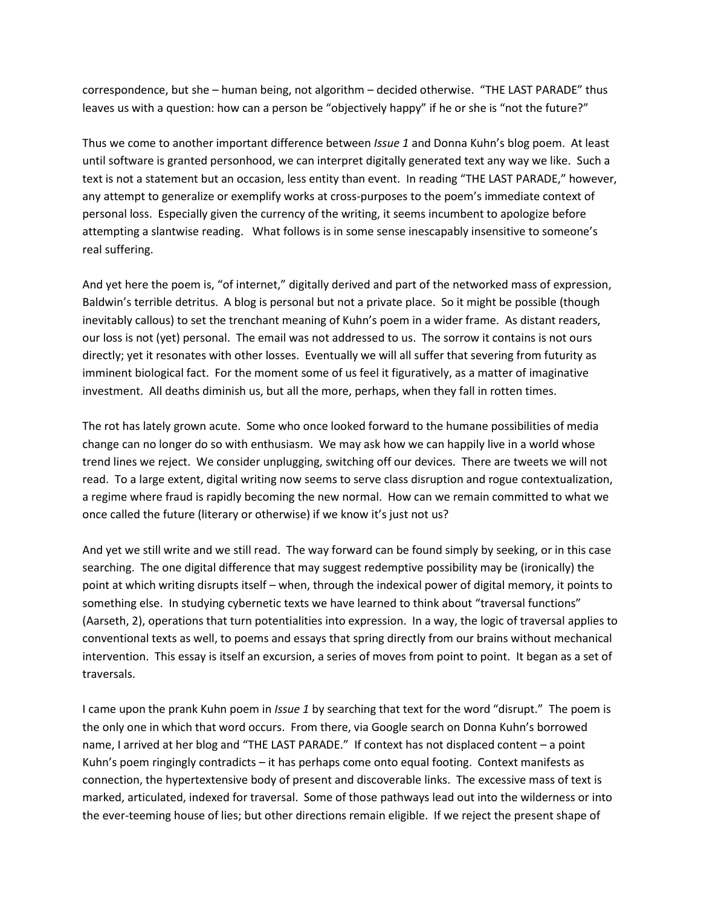correspondence, but she – human being, not algorithm – decided otherwise. "THE LAST PARADE" thus leaves us with a question: how can a person be "objectively happy" if he or she is "not the future?"

Thus we come to another important difference between *Issue 1* and Donna Kuhn's blog poem. At least until software is granted personhood, we can interpret digitally generated text any way we like. Such a text is not a statement but an occasion, less entity than event. In reading "THE LAST PARADE," however, any attempt to generalize or exemplify works at cross-purposes to the poem's immediate context of personal loss. Especially given the currency of the writing, it seems incumbent to apologize before attempting a slantwise reading. What follows is in some sense inescapably insensitive to someone's real suffering.

And yet here the poem is, "of internet," digitally derived and part of the networked mass of expression, Baldwin's terrible detritus. A blog is personal but not a private place. So it might be possible (though inevitably callous) to set the trenchant meaning of Kuhn's poem in a wider frame. As distant readers, our loss is not (yet) personal. The email was not addressed to us. The sorrow it contains is not ours directly; yet it resonates with other losses. Eventually we will all suffer that severing from futurity as imminent biological fact. For the moment some of us feel it figuratively, as a matter of imaginative investment. All deaths diminish us, but all the more, perhaps, when they fall in rotten times.

The rot has lately grown acute. Some who once looked forward to the humane possibilities of media change can no longer do so with enthusiasm. We may ask how we can happily live in a world whose trend lines we reject. We consider unplugging, switching off our devices. There are tweets we will not read. To a large extent, digital writing now seems to serve class disruption and rogue contextualization, a regime where fraud is rapidly becoming the new normal. How can we remain committed to what we once called the future (literary or otherwise) if we know it's just not us?

And yet we still write and we still read. The way forward can be found simply by seeking, or in this case searching. The one digital difference that may suggest redemptive possibility may be (ironically) the point at which writing disrupts itself – when, through the indexical power of digital memory, it points to something else. In studying cybernetic texts we have learned to think about "traversal functions" (Aarseth, 2), operations that turn potentialities into expression. In a way, the logic of traversal applies to conventional texts as well, to poems and essays that spring directly from our brains without mechanical intervention. This essay is itself an excursion, a series of moves from point to point. It began as a set of traversals.

I came upon the prank Kuhn poem in *Issue 1* by searching that text for the word "disrupt." The poem is the only one in which that word occurs. From there, via Google search on Donna Kuhn's borrowed name, I arrived at her blog and "THE LAST PARADE." If context has not displaced content – a point Kuhn's poem ringingly contradicts – it has perhaps come onto equal footing. Context manifests as connection, the hypertextensive body of present and discoverable links. The excessive mass of text is marked, articulated, indexed for traversal. Some of those pathways lead out into the wilderness or into the ever-teeming house of lies; but other directions remain eligible. If we reject the present shape of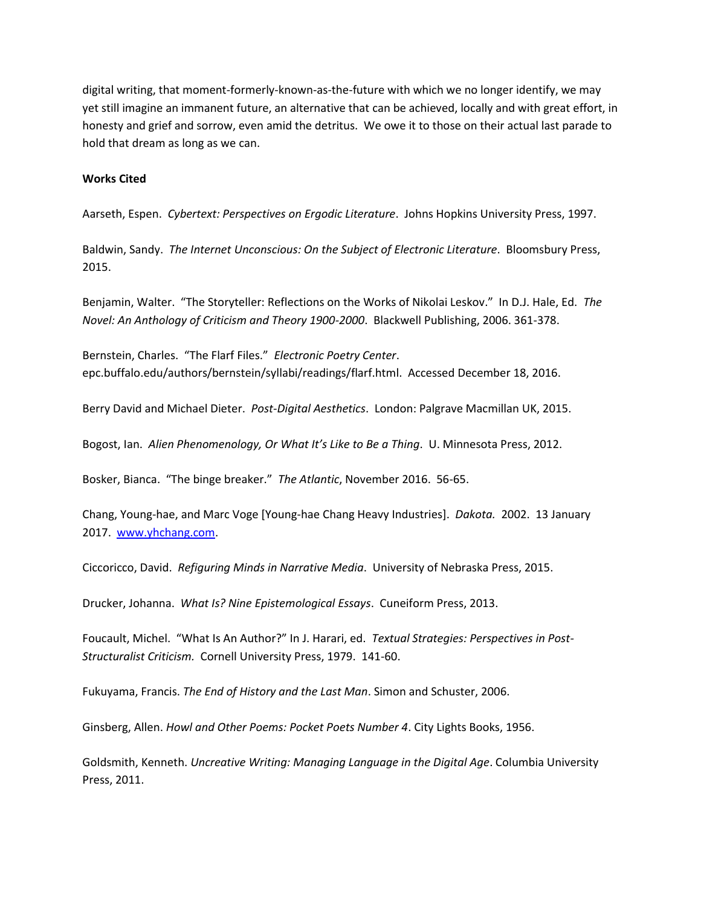digital writing, that moment-formerly-known-as-the-future with which we no longer identify, we may yet still imagine an immanent future, an alternative that can be achieved, locally and with great effort, in honesty and grief and sorrow, even amid the detritus. We owe it to those on their actual last parade to hold that dream as long as we can.

#### **Works Cited**

Aarseth, Espen. *Cybertext: Perspectives on Ergodic Literature*. Johns Hopkins University Press, 1997.

Baldwin, Sandy. *The Internet Unconscious: On the Subject of Electronic Literature*. Bloomsbury Press, 2015.

Benjamin, Walter. "The Storyteller: Reflections on the Works of Nikolai Leskov." In D.J. Hale, Ed. *The Novel: An Anthology of Criticism and Theory 1900-2000*. Blackwell Publishing, 2006. 361-378.

Bernstein, Charles. "The Flarf Files." *Electronic Poetry Center*. epc.buffalo.edu/authors/bernstein/syllabi/readings/flarf.html. Accessed December 18, 2016.

Berry David and Michael Dieter. *Post-Digital Aesthetics*. London: Palgrave Macmillan UK, 2015.

Bogost, Ian. *Alien Phenomenology, Or What It's Like to Be a Thing*. U. Minnesota Press, 2012.

Bosker, Bianca. "The binge breaker." *The Atlantic*, November 2016. 56-65.

Chang, Young-hae, and Marc Voge [Young-hae Chang Heavy Industries]. *Dakota.* 2002. 13 January 2017. [www.yhchang.com.](http://www.yhchang.com/)

Ciccoricco, David. *Refiguring Minds in Narrative Media*. University of Nebraska Press, 2015.

Drucker, Johanna. *What Is? Nine Epistemological Essays*. Cuneiform Press, 2013.

Foucault, Michel. "What Is An Author?" In J. Harari, ed. *Textual Strategies: Perspectives in Post-Structuralist Criticism.* Cornell University Press, 1979. 141-60.

Fukuyama, Francis. *The End of History and the Last Man*. Simon and Schuster, 2006.

Ginsberg, Allen. *Howl and Other Poems: Pocket Poets Number 4*. City Lights Books, 1956.

Goldsmith, Kenneth. *Uncreative Writing: Managing Language in the Digital Age*. Columbia University Press, 2011.